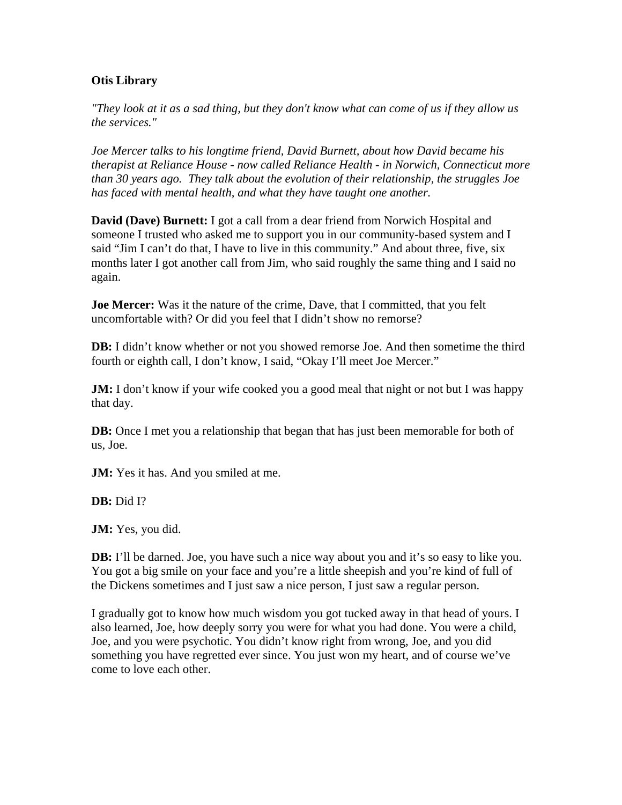## **Otis Library**

*"They look at it as a sad thing, but they don't know what can come of us if they allow us the services."*

*Joe Mercer talks to his longtime friend, David Burnett, about how David became his therapist at Reliance House - now called Reliance Health - in Norwich, Connecticut more than 30 years ago. They talk about the evolution of their relationship, the struggles Joe has faced with mental health, and what they have taught one another.*

**David (Dave) Burnett:** I got a call from a dear friend from Norwich Hospital and someone I trusted who asked me to support you in our community-based system and I said "Jim I can't do that, I have to live in this community." And about three, five, six months later I got another call from Jim, who said roughly the same thing and I said no again.

**Joe Mercer:** Was it the nature of the crime, Dave, that I committed, that you felt uncomfortable with? Or did you feel that I didn't show no remorse?

**DB:** I didn't know whether or not you showed remorse Joe. And then sometime the third fourth or eighth call, I don't know, I said, "Okay I'll meet Joe Mercer."

**JM:** I don't know if your wife cooked you a good meal that night or not but I was happy that day.

**DB:** Once I met you a relationship that began that has just been memorable for both of us, Joe.

**JM:** Yes it has. And you smiled at me.

**DB:** Did I?

**JM:** Yes, you did.

**DB:** I'll be darned. Joe, you have such a nice way about you and it's so easy to like you. You got a big smile on your face and you're a little sheepish and you're kind of full of the Dickens sometimes and I just saw a nice person, I just saw a regular person.

I gradually got to know how much wisdom you got tucked away in that head of yours. I also learned, Joe, how deeply sorry you were for what you had done. You were a child, Joe, and you were psychotic. You didn't know right from wrong, Joe, and you did something you have regretted ever since. You just won my heart, and of course we've come to love each other.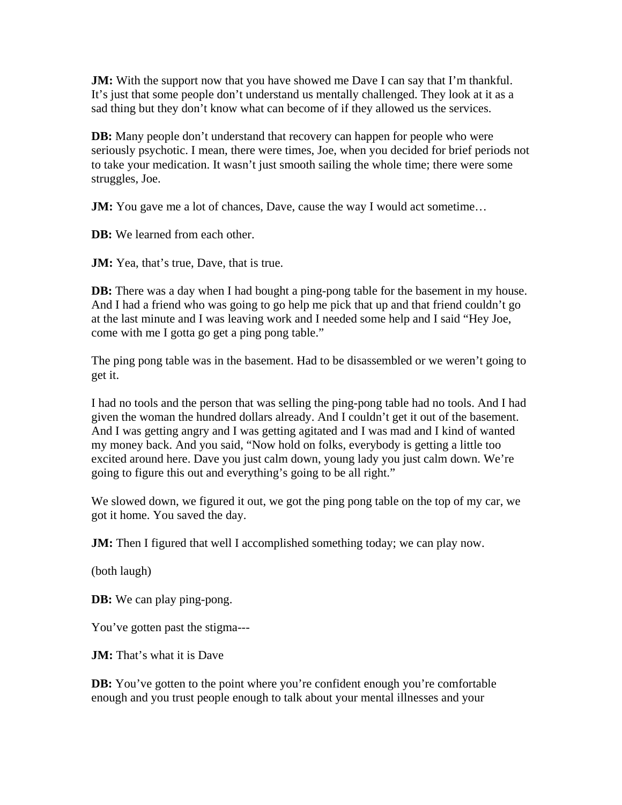**JM:** With the support now that you have showed me Dave I can say that I'm thankful. It's just that some people don't understand us mentally challenged. They look at it as a sad thing but they don't know what can become of if they allowed us the services.

**DB:** Many people don't understand that recovery can happen for people who were seriously psychotic. I mean, there were times, Joe, when you decided for brief periods not to take your medication. It wasn't just smooth sailing the whole time; there were some struggles, Joe.

**JM:** You gave me a lot of chances, Dave, cause the way I would act sometime...

**DB:** We learned from each other.

**JM:** Yea, that's true, Dave, that is true.

**DB:** There was a day when I had bought a ping-pong table for the basement in my house. And I had a friend who was going to go help me pick that up and that friend couldn't go at the last minute and I was leaving work and I needed some help and I said "Hey Joe, come with me I gotta go get a ping pong table."

The ping pong table was in the basement. Had to be disassembled or we weren't going to get it.

I had no tools and the person that was selling the ping-pong table had no tools. And I had given the woman the hundred dollars already. And I couldn't get it out of the basement. And I was getting angry and I was getting agitated and I was mad and I kind of wanted my money back. And you said, "Now hold on folks, everybody is getting a little too excited around here. Dave you just calm down, young lady you just calm down. We're going to figure this out and everything's going to be all right."

We slowed down, we figured it out, we got the ping pong table on the top of my car, we got it home. You saved the day.

**JM:** Then I figured that well I accomplished something today; we can play now.

(both laugh)

**DB:** We can play ping-pong.

You've gotten past the stigma---

**JM:** That's what it is Dave

**DB:** You've gotten to the point where you're confident enough you're comfortable enough and you trust people enough to talk about your mental illnesses and your